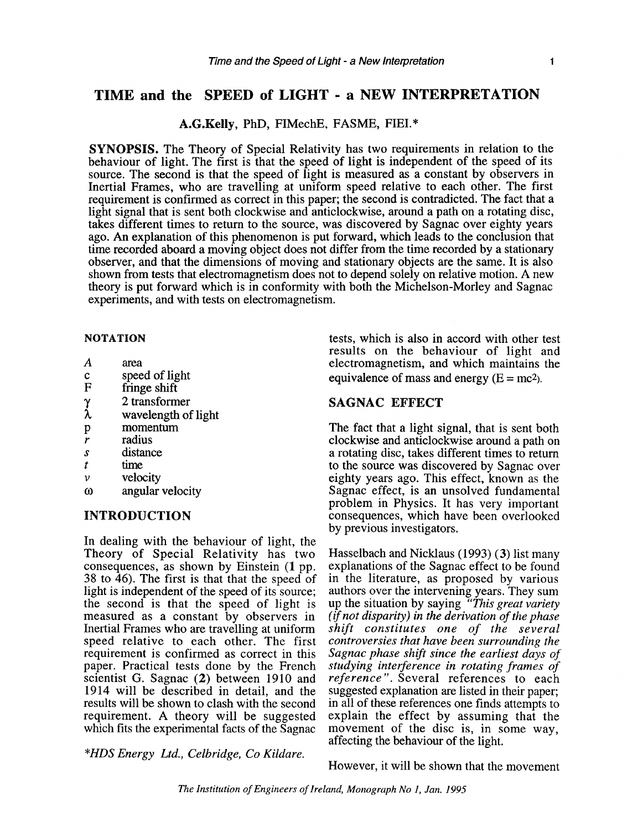### **TIME and the SPEED of LIGHT** - **a NEW INTERPRETATION**

#### A.G.Kelly, PhD, FIMechE, FASME, FIEI.\*

**SYNOPSIS.** The Theory of Special Relativity has two requirements in relation to the behaviour of light. The first is that the speed of light is independent of the speed of its source. The second is that the speed of light is measured as a constant by observers in Inertial Frames, who are travelling at uniform speed relative to each other. The first requirement is confirmed as correct in this paper; the second is contradicted. The fact that a light signal that is sent both clockwise and anticlockwise, around a path on a rotating disc, takes different times to return to the source, was discovered by Sagnac over eighty years ago. An explanation of this phenomenon is put forward, which leads to the conclusion that time recorded aboard a moving object does not differ from the time recorded by a stationary observer, and that the dimensions of moving and stationary objects are the same. It is also shown from tests that electromagnetism does not to depend solely on relative motion. A new theory is put forward which is in conformity with both the Michelson-Morley and Sagnac experiments, and with tests on electromagnetism.

#### **NOTATION**

- $\boldsymbol{A}$ area
- speed of light  $\mathbf c$
- $\overline{F}$ fringe shift
- 2 transformer  $\gamma$
- λ wavelength of light
- momentum  $\overline{p}$
- radius  $\boldsymbol{r}$
- distance  $\overline{s}$
- time t
- velocity  $\overline{\nu}$
- angular velocity  $\omega$

#### **INTRODUCTION**

In dealing with the behaviour of light, the Theory of Special Relativity has two consequences, as shown by Einstein **(1** pp. 38 to 46). The first is that that the speed of light is independent of the speed of its source; the second is that the speed of light is measured as a constant by observers in Inertial Frames who are travelling at uniform speed relative to each other. The first requirement is confirmed as correct in this paper. Practical tests done by the French scientist G. Sagnac (2) between 1910 and 1914 will be described in detail, and the results will be shown to clash with the second requirement. A theory will be suggested which fits the experimental facts of the Sagnac

**\*HDS** *Energy Ltd., Celbridge, Co Kildare.* 

tests, which is also in accord with other test results on the behaviour of light and electromagnetism, and which maintains the equivalence of mass and energy  $(E = mc^2)$ .

#### SAGNAC **EFFECT**

The fact that a light signal, that is sent both clockwise and anticlockwise around a path on a rotating disc, takes different times to return to the source was discovered by Sagnac over eighty years ago. This effect, known as the Sagnac effect, is an unsolved fundamental problem in Physics. It has very important consequences, which have been overlooked by previous investigators.

Hasselbach and Nicklaus (1993) **(3)** list many explanations of the Sagnac effect to be found in the literature, as proposed by various authors over the intervening years. They sum up the situation by saying *"This great variety (if not disparity) in the derivation of the phase shift constitutes one of the several controversies that have been surrounding the Sagnac phase shift since the earliest days of studying interference in rotating frames of reference* ". Several references to each suggested explanation are listed in their paper; in all of these references one finds attempts to explain the effect by assuming that the movement of the disc is, in some way, affecting the behaviour of the light.

However, it will be shown that the movement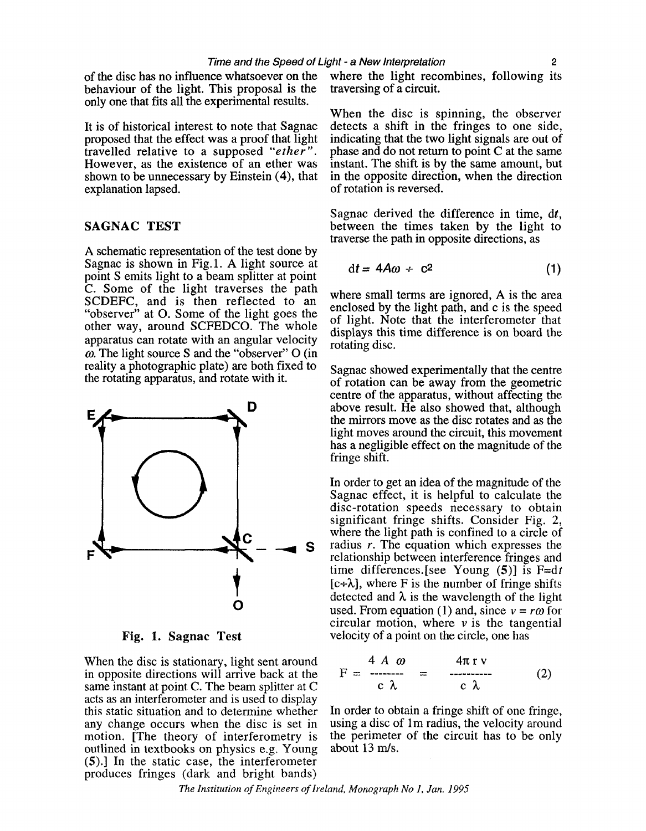behaviour of the light. This proposal is the only one that fits all the experimental results.

proposed that the effect was a proof that light indicating that the two light signals are out of travelled relative to a supposed "ether". phase and do not return to point C at the same travelled relative to a supposed *"ether* ". phase and do not return to point C at the same However, as the existence of an ether was instant. The shift is by the same amount, but shown to be unnecessary by Einstein (4), that in the opposite direction, when the direction shown to be unnecessary by Einstein (4), that in the opposite direction, when the direction explanation lapsed.

A schematic representation of the test done by Sagnac is shown in Fig.1. A light source at A schematic representation of the test done by<br>Sagnac is shown in Fig.1. A light source at<br>point S emits light to a beam splitter at point<br>C. Some of the light traverses the path<br>SCDEFC, and is then reflected to an<br>"obser other way, around SCFEDCO. The whole of light. Note that the interferometer that apparatus can rotate with an angular velocity rotating disc. **o,** The light source **S** and the "observer" 0 (in



When the disc is stationary, light sent around in opposite directions will arrive back at the same instant at point C. The beam splitter at C acts as an interferometer and is used to display any change occurs when the disc is set in using a disc of 1m radius, the velocity around motion. [The theory of interferometry is the perimeter of the circuit has to be only motion. [The theory of interferometry is the perimeter outlined in textbooks on physics e.g. Young about 13 m/s. outlined in textbooks on physics e.g. Young (S).] In the static case, the interferometer produces fringes (dark and bright bands)

of the disc has no influence whatsoever on the where the light recombines, following its behaviour of the light. This proposal is the traversing of a circuit.

When the disc is spinning, the observer It is of historical interest to note that Sagnac detects a shift in the fringes to one side, proposed that the effect was a proof that light indicating that the two light signals are out of of rotation is reversed.

Sagnac derived the difference in time, *dt,*  **SAGNAC TEST** between the times taken by the light to traverse the path in opposite directions, as

$$
dt = 4A\omega + c^2 \tag{1}
$$

reality a photographic plate) are both fixed to Sagnac showed experimentally that the centre the rotating apparatus, and rotate with it.  $\frac{1}{1000}$  of rotation can be away from the geometric **D**<br>**D centre of the apparatus, without affecting the above result. He also showed that, although** the mirrors move as the disc rotates and as the light moves around the circuit, this movement has a negligible effect on the magnitude of the fringe shift.

In order to get an idea of the magnitude of the Sagnac effect, it is helpful to calculate the disc-rotation speeds necessary to obtain significant fringe shifts. Consider Fig. 2, where the light path is confined to a circle of radius r. The equation which expresses the relationship between interference fringes and time differences.[see Young (5)] is F=dt<br>[c+ $\lambda$ ], where F is the number of fringe shifts<br>detected and  $\lambda$  is the wavelength of the light  $[c+\lambda]$ , where F is the number of fringe shifts **0** detected and  $\lambda$  is the wavelength of the light used. From equation (1) and, since  $v = r\omega$  for used. From equation (1) and, since  $v = r\omega$  for circular motion, where  $\nu$  is the tangential **Fig. 1. Sagnac Test** velocity of a point on the circle, one has

$$
F = \frac{4 A \omega}{c \lambda} = \frac{4\pi r v}{c \lambda}
$$
 (2)

In order to obtain a fringe shift of one fringe,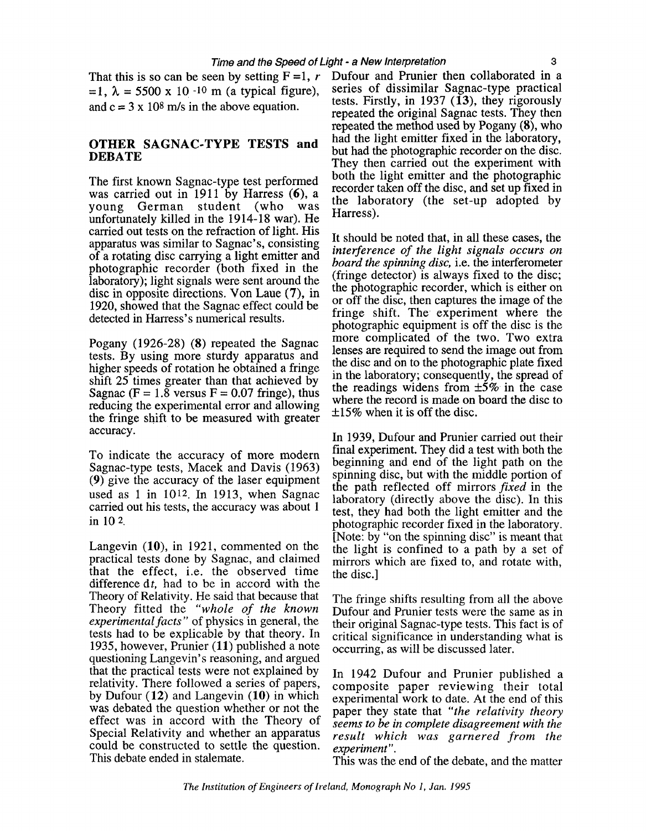$= 1, \lambda = 5500 \times 10^{-10}$  m (a typical figure), series of dissimilar Sagnac-type practical<br>end  $\epsilon = 3 \times 10^8$  m/s in the shows coustion

The first known Sagnac-type test performed<br>was carried out in 1911 by Harress (6), a the laboratory (the set-up adopted by<br>young German student (who was Harress).<br>Harress). unfortunately killed in the 1914-18 war). He carried out tests on the refraction of light. His carried out tests on the refraction of light. His<br>apparatus was similar to Sagnac's, consisting interference of the light signals occurs on<br>of a rotating disc carrying a light emitter and<br>board the spinning disc, i.e. the photographic recorder (both fixed in the *bourd the spinning alse*, i.e. the interferometer laboratory); light signals were sent around the (fringe detector) is always fixed to the disc; the disc in opposite directions. Vo

Pogany (1926-28) **(8)** repeated the Sagnac tests. By using more sturdy apparatus and higher speeds of rotation he obtained a fringe shift 25 times greater than that achieved by Sagnac ( $F = 1.8$  versus  $F = 0.07$  fringe), thus reducing the experimental error and allowing the fringe shift to be measured with greater accuracy.

To indicate the accuracy of more modern Sagnac-type tests, Macek and Davis (1963) **(9)** give the accuracy of the laser equipment used as 1 in 1012. In 1913, when Sagnac carried out his tests, the accuracy was about 1 in 10 2.

Langevin  $(10)$ , in 1921, commented on the practical tests done by Sagnac, and claimed that the effect, i.e. the observed time difference  $dt$ , had to be in accord with the Theory of Relativity. He said that because that Theory fitted the *"whole of the known experimentalfacts"* of physics in general, the tests had to be explicable by that theory. In 1935, however, Prunier (11) published a note questioning Langevin's reasoning, and argued that the practical tests were not explained by relativity. There followed a series of papers, by Dufour (12) and Langevin (10) in which was debated the question whether or not the effect was in accord with the Theory of Special Relativity and whether an apparatus could be constructed to settle the question. This debate ended in stalemate.

That this is so can be seen by setting  $F = 1$ , *r* Dufour and Prunier then collaborated in a  $= 1$ ,  $\lambda = 5500 \times 10^{-10}$  m (a typical figure) series of dissimilar Sagnac-type practical and  $c = 3 \times 10^8$  m/s in the above equation. The repeated the original Sagnac tests. They then repeated the method used by Pogany **(8),** who had the light emitter fixed in the laboratory,<br>but had the photographic recorder on the disc. **OTHER SAGNAC-TYPE TESTS and <br>DEBATE DEBATE They** then carried out the experiment with both the light emitter and the photographic<br>recorder taken off the disc, and set up fixed in

> photographic equipment is off the disc is the more complicated of the two. Two extra lenses are required to send the image out from the disc and on to the photographic plate fixed in the laboratory; consequently, the spread of the readings widens from  $\pm 5\%$  in the case where the record is made on board the disc to  $\pm 15\%$  when it is off the disc.

> In 1939, Dufour and Prunier carried out their final experiment. They did a test with both the beginning and end of the light path on the spinning disc, but with the middle portion of the path reflected off mirrors *fixed* in the laboratory (directly above the disc). In this test, they had both the light emitter and the photographic recorder fixed in the laboratory. [Note: by "on the spinning disc" is meant that: the light is confined to a path by a set of mirrors which are fixed to, and rotate with, the disc.]

> The fringe shifts resulting from all the above Dufour and Prunier tests were the same as in their original Sagnac-type tests. This fact is of critical significance in understanding what is occurring, as will be discussed later.

> In 1942 Dufour and Prunier published a composite paper reviewing their total experimental work to date. At the end of this paper they state that *"the relativity theory seems to be in complete disagreement with the result which was garnered from the experiment* ".

> This was the end of the debate, and the matter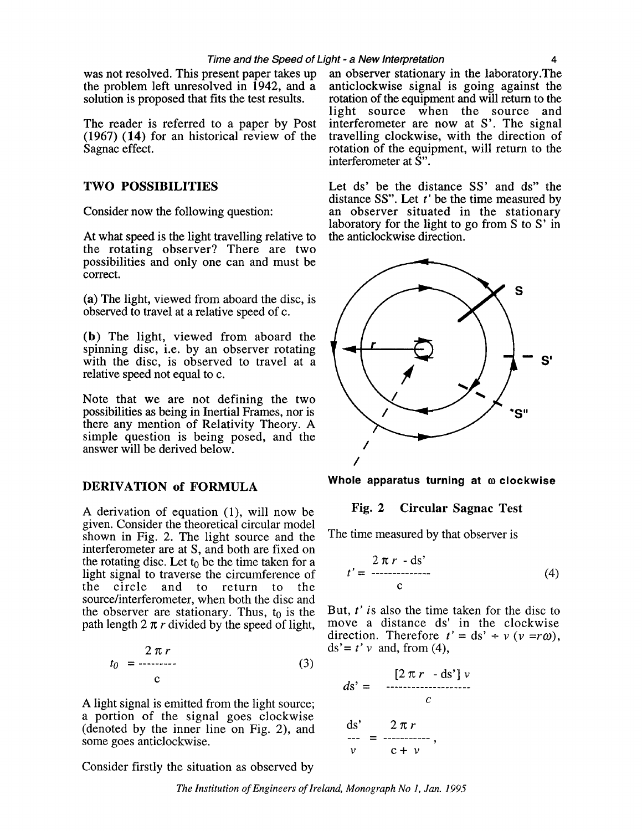(1967) (14) for an historical review of the travelling clockwise, with the direction of Sagnac effect.

At what speed is the light travelling relative to the rotating observer? There are two possibilities and only one can and must be correct.

(a) The light, viewed from aboard the disc, is observed to travel at a relative speed of c.

**(b)** The light, viewed from aboard the spinning disc, i.e. by an observer rotating with the disc, is observed to travel at a relative speed not equal to c.

Note that we are not defining the two possibilities as being in Inertial Frames, nor is there any mention of Relativity Theory. A simple question is being posed, and the answer will be derived below.

#### DERIVATION **of** FORMULA

A derivation of equation (I), will now be given. Consider the theoretical circular model shown in Fig. 2. The light source and the interferometer are at S, and both are fixed on the rotating disc. Let  $t_0$  be the time taken for a light signal to traverse the circumference of<br>the circle and to return to the and to return to the source/interferometer, when both the disc and the observer are stationary. Thus,  $t_0$  is the path length  $2 \pi r$  divided by the speed of light,

$$
t_0 = \frac{2 \pi r}{c} \tag{3}
$$

A light signal is emitted from the light source; a portion of the signal goes clockwise (denoted by the inner line on Fig. 2), and some goes anticlockwise.

Consider firstly the situation as observed by

was not resolved. This present paper takes up an observer stationary in the laboratory. The the problem left unresolved in 1942, and a anticlockwise signal is going against the the problem left unresolved in  $\hat{1}942$ , and  $\hat{a}$  anticlockwise signal is going against the solution is proposed that fits the test results. rotation of the equipment and will return to the rotation of the equipment and will return to the light source when the source and The reader is referred to a paper by Post interferometer are now at S'. The signal (1967) (14) for an historical review of the travelling clockwise, with the direction of rotation of the equipment, will return to the interferometer at S".

TWO POSSIBILITIES Let ds' be the distance SS' and ds" the distance SS". Let *t'* be the time measured by Consider now the following question: an observer situated in the stationary laboratory for the light to go from S to S' in the anticlockwise direction.



**Whole apparatus turning at o clockwise** 

#### **Fig. 2** Circular Sagnac **Test**

The time measured by that observer is

$$
t' = \frac{2 \pi r - ds'}{c}
$$
 (4)

But, *t'* is also the time taken for the disc to move a distance ds' in the clockwise direction. Therefore  $t' = ds' + v (v = r\omega)$ ,  $ds' = t' v$  and, from (4),

$$
ds' = \frac{[2 \pi r - ds'] \nu}{c}
$$
  
ds' = 2 \pi r  

$$
= \frac{2 \pi r}{c + \nu}
$$

*The Institution of Engineers of Ireland, Monograph No I, Jan. 1995*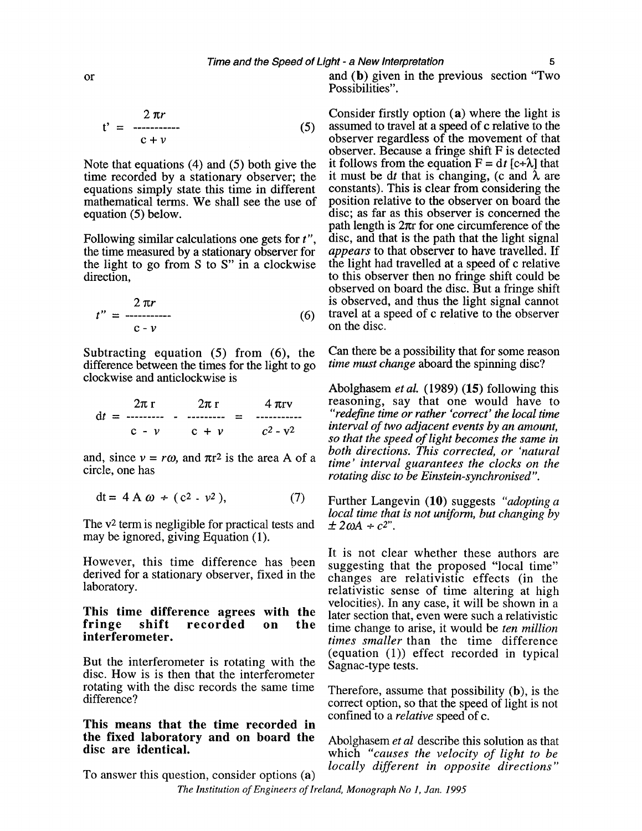$$
t' = \frac{2 \pi r}{c + v}
$$
 (5)

Note that equations (4) and (5) both give the time recorded by a stationary observer; the equations simply state this time in different mathematical terms. We shall see the use of equation (5) below.

Following similar calculations one gets for *t",*  the time measured by a stationary observer for the light to go from S to S" in a clockwise direction,

$$
t'' = \frac{2 \pi r}{c - \nu} \tag{6}
$$

Subtracting equation (5) from *(6),* the difference between the times for the light to go clockwise and anticlockwise is

$$
dt = \frac{2\pi r}{c - \nu} - \frac{2\pi r}{c + \nu} = \frac{4\pi r v}{c^2 - v^2}
$$

and, since  $v = r\omega$ , and  $\pi r^2$  is the area A of a circle, one has

$$
dt = 4 A \omega \div (c^2 - v^2), \qquad (7)
$$

The v<sup>2</sup> term is negligible for practical tests and may be ignored, giving Equation (1).

However, this time difference has been suggesting that the proposed "local time"<br>derived for a stationary observer, fixed in the changes are relativistic effects (in the<br>laboratory.

## This time difference agrees with the later section that, even were such a relativistic<br>fringe shift recorded on the time change to arise it would be ten million fringe shift recorded on the time change to arise, it would be *ten million*

disc. How is is then that the interferometer rotating with the disc records the same time rotating with the disc records the same time Therefore, assume that possibility (b), is the difference?

# This means that the time recorded in the fixed laboratory and on board the Abolghasem *et al* describe this solution as that<br>disc are identical.

and (b) given in the previous section "Two Possibilities".

Consider firstly option (a) where the light is assumed to travel at a speed of c relative to the observer regardless of the movement of that observer. Because a fringe shift F is detected it follows from the equation  $F = dt$  [c+ $\lambda$ ] that it must be dt that is changing, (c and  $\lambda$  are constants). This is clear from considering the position relative to the observer on board the disc; as far as this observer is concerned the path length is  $2\pi r$  for one circumference of the disc, and that is the path that the light signal *appears* to that observer to have travelled. If the light had travelled at a speed of c relative to this observer then no fringe shift could be observed on board the disc. But a fringe shift is observed, and thus the light signal cannot travel at a speed of c relative to the observer on the disc.

Can there be a possibility that for some reason *time must change* aboard the spinning disc?

Abolghasem *et al.* (1989) *(15)* following this reasoning, say that one would have to *"redefine time or rather 'correct' the local time interval of two adjacent events by an amount, so that the speed of light becomes the same in both directions. This corrected, or 'natural time' interval guarantees the clocks on the rotating disc to be Einstein-synchronised".* 

Further Langevin (10) suggests *"adopting a local time that is not uniform, but changing by*  $\pm 2\omega A + c^2$ .

It is not clear whether these authors are relativistic sense of time altering at high velocities). In any case, it will be shown in a times smaller than the time difference But the interferometer is rotating with the Sagnac-type tests.

> correct option, so that the speed of light is not confined to a *relative* speed of c.

which *"causes the velocity of light to be locally different in opposite directions"* To answer this question, consider options (a)

or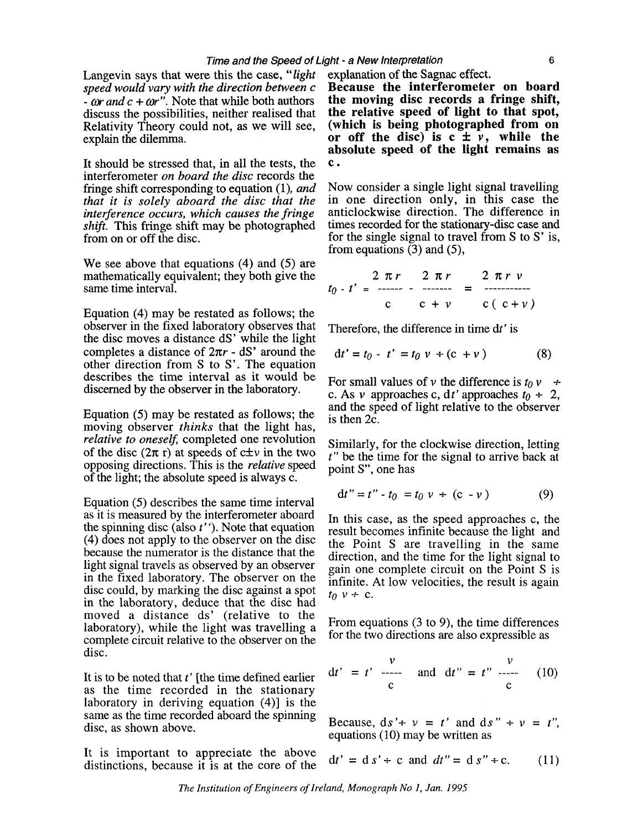Langevin says that were this the case, "*light* explanation of the Sagnac effect.<br>speed would vary with the direction between  $c$  **Because the interferometer on board**  $\alpha$  -  $\alpha$  and  $c + \omega r$ ". Note that while both authors **the moving disc records a fringe shift,** discuss the possibilities, neither realised that **the relative speed of light to that spot**, discuss the possibilities, neither realised that **the relative speed of light to that spot,**  Relativity Theory could not, as we will see, explain the dilemma. **or off the disc)** is  $c \pm \tilde{v}$ , while the

It should be stressed that, in all the tests, the **c**.<br>interferometer on board the disc records the<br>fringe shift corresponding to equation (1), and Now consider a single light signal travelling fringe shift corresponding to equation (1), and that it is solely aboard the disc that the shift. This fringe shift may be photographed

We see above that equations (4) and (5) are mathematically equivalent; they both give the  $t_0 - t' = \frac{2 \pi r}{-1}$   $\pi r = \frac{2 \pi r}{-1}$   $\pi r = \frac{2 \pi r}{-1}$ 

Equation (4) may be restated as follows; the observer in the fixed laboratory observes that the disc moves a distance dS' while the light completes a distance of  $2\pi r$  - dS' around the other direction from S to S'. The equation describes the time interval as it would be discerned by the observer in the laboratory.

Equation (5) may be restated as follows; the moving observer *thinks* that the light has, relative to oneself, completed one revolution of the disc  $(2\pi r)$  at speeds of  $c \pm v$  in the two opposing directions. This is the relative speed of the light; the absolute speed is always c.

Eauation (5) describes the same time interval as it is measured by the interferometer aboard the spinning disc (also  $t'$ ). Note that equation (4) does not apply to the observer on the disc because the numerator is the distance that the light signal travels as observed by an observer in the fixed laboratory. The observer on the disc could, by marking the disc against a spot in the laboratory, deduce that the disc had moved a distance ds' (relative to the laboratory), while the light was travelling a From equations (3 to 9), the time differences  $\frac{1}{2}$  complete circuit relative to the observer on the for the two directions are also expressible as disc.

It is to be noted that  $t'$  [the time defined earlier as the time recorded in the stationary laboratory in deriving equation (4)] is the same as the time recorded aboard the spinning disc, as shown above.<br>disc, as shown above.

It is important to appreciate the above distinctions, because it is at the core of the

speed would vary with the direction between  $c$  **Because the interferometer on board**  $\cdot$  or and  $c + \omega r$ . Note that while both authors **the moving disc records a fringe shift. absolute speed of the light remains as** 

in one direction only, in this case the interference occurs, which causes the fringe anticlockwise direction. The difference in shift. This fringe shift may be photographed times recorded for the stationary-disc case and from on or off the disc.  $\qquad \qquad$  for the single signal to travel from S to S' is, from equations **(3)** and **(5),** 

$$
t_0 - t' = \frac{2 \pi r}{c} - \frac{2 \pi r}{c} = \frac{2 \pi r v}{c(c+v)}
$$

Therefore, the difference in time dt' is

$$
dt' = t_0 - t' = t_0 v + (c + v)
$$
 (8)

For small values of v the difference is  $t_0 v +$ c. As v approaches c, dt' approaches  $t_0 + 2$ , and the speed of light relative to the observer is then 2c.

Similarly, for the clockwise direction, letting t" be the time for the signal to arrive back at point S", one has

$$
dt'' = t'' - t_0 = t_0 v + (c - v)
$$
 (9)

In this case, as the speed approaches c, the result becomes infinite because the light and the Point S are travelling in the same direction, and the time for the light signal to gain one complete circuit on the Point S is infinite. At low velocities, the result is again  $t_0$   $v \div c$ .

$$
dt' = t' \frac{v}{c} \quad \text{and} \quad dt'' = t'' \frac{v}{c} \quad (10)
$$

equations (10) may be written as

$$
dt' = d s' \div c \text{ and } dt'' = d s'' \div c. \qquad (11)
$$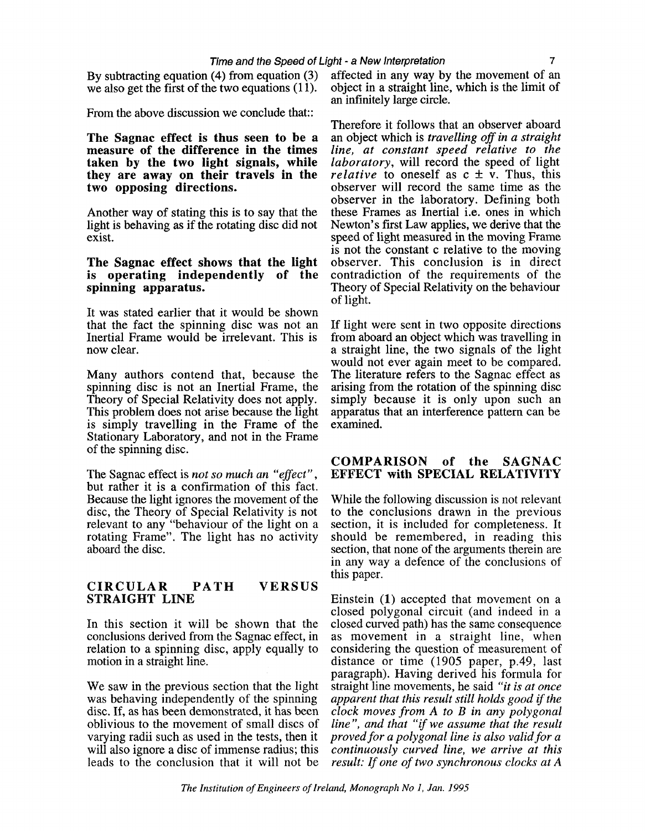By subtracting equation (4) from equation **(3)**  we also get the first of the two equations (11).

From the above discussion we conclude that::

**The Sagnac effect is thus seen to be a measure of the difference in the times taken by the two light signals, while they are away on their travels in the two opposing directions.** 

Another way of stating this is to say that the light is behaving as if the rotating disc did not exist.

#### **The Sagnac effect shows that the light is operating independently of the spinning apparatus.**

It was stated earlier that it would be shown that the fact the spinning disc was not an Inertial Frame would be irrelevant. This is now clear.

Many authors contend that, because the spinning disc is not an Inertial Frame, the Theory of Special Relativity does not apply. This problem does not arise because the light is simply travelling in the Frame of the Stationary Laboratory, and not in the Frame of the spinning disc.

The Sagnac effect is *not so much an "eflect",*  but rather it is a confirmation of this fact. Because the light ignores the movement of the disc, the Theory of Special Relativity is not relevant to any "behaviour of the light on a rotating Frame". The light has no activity aboard the disc.

#### **CIRCULAR PATH VERSUS STRAIGHT LINE**

In this section it will be shown that the conclusions derived from the Sagnac effect, in relation to a spinning disc, apply equally to motion in a straight line.

We saw in the previous section that the light was behaving independently of the spinning disc. If, as has been demonstrated, it has been oblivious to the movement of small discs of varying radii such as used in the tests, then it will also ignore a disc of immense radius; this leads to the conclusion that it will not be affected in any way by the movement of an object in a straight line, which is the limit of an infinitely large circle.

Therefore it follows that an observer aboard an object which is *travelling oflin a straight line, at constant speed relative to the laboratory,* will record the speed of light *relative* to oneself as  $c \pm \bar{v}$ . Thus, this observer will record the same time as the observer in the laboratory. Defining both these Frames as Inertial i.e. ones in which Newton's first Law applies, we derive that the speed of light measured in the moving Frame is not the constant c relative to the moving observer. This conclusion is in direct contradiction of the requirements of the Theory of Special Relativity on the behaviour of light.

If light were sent in two opposite directions from aboard an object which was travelling in a straight line, the two signals of the light would not ever again meet to be compared. The literature refers to the Sagnac effect as arising from the rotation of the spinning disc simply because it is only upon such an apparatus that an interference pattern can be examined.

#### **COMPARISON of the SAGNAC EFFECT with SPECIAL RELATIVITY**

While the following discussion is not relevant to the conclusions drawn in the previous section, it is included for completeness. It should be remembered, in reading this section, that none of the arguments therein are in any way a defence of the conclusions of this paper.

Einstein **(1)** accepted that movement on a closed polygonal circuit (and indeed in a closed curved path) has the same consequence as movement in a straight line, when considering the question of measurement of distance or time (1905 paper, p.49, last paragraph). Having derived his formula for straight line movements, he said *"it is at once apparent that this result still holds good if the clock moves from A to B in any polygonal line", and that "if we assume that the result proved for a polygonal line is also valid for a continuously curved line, we arrive at this result:* If *one of two synchronous clocks at A*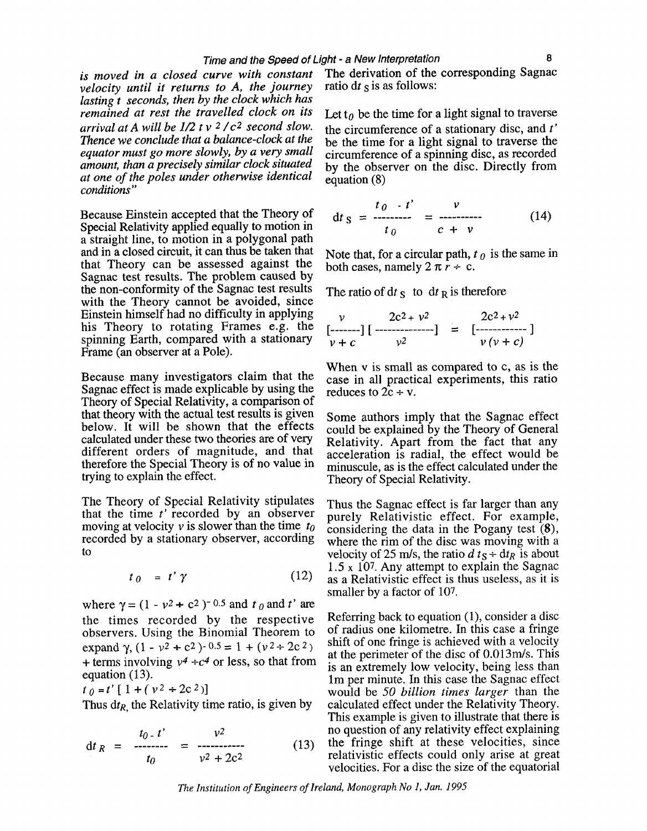*velocity until it returns to A, the journey lasting t seconds, then by the clock which has remained at rest the travelled clock on its* Let  $t_0$  be the time for a light signal to traverse *arrival at A will be 1/2 t v <sup>2</sup>/c<sup>2</sup> second slow*. the circumference of a stationary disc, and *t' arrival at A will be 1/2 t v <sup>2</sup>/c<sup>2</sup> second slow.* the circumference of a stationary disc, and *t' Thence we conclude that a balance-clock at the* the time for a light signal to traverse the *Thence we conclude that a balance-clock at the* be the time for a light signal to traverse the *equator must go more slowly, by a very small* circumference of a spinning disc, as recorded *equator must go more slowly, by a very small* circumference of a spinning disc, as recorded amount, than a precisely similar clock situated by the observer on the disc. Directly from *at one of the poles under otherwise identical* equation **(8)** *conditions"* 

Because Einstein accepted that the Theory of Special Relativity applied equally to motion in a straight line, to motion in a polygonal path and in a closed circuit, it can thus be taken that that Theory can be assessed against the Sagnac test results. The problem caused by the non-conformity of the Sagnac test results with the Theory cannot be avoided, since Einstein himself had no difficulty in applying his Theory to rotating Frames e.g. the spinning Earth, compared with a stationary Frame (an observer at a Pole).

Because many investigators claim that the Sagnac effect is made explicable by using the Theory of Special Relativity, a comparison of that theory with the actual test results is given below. It will be shown that the effects calculated under these two theories are of very different orders of magnitude, and that therefore the Special Theory is of no value in trying to explain the effect.

The Theory of Special Relativity stipulates that the time *t'* recorded by an observer moving at velocity v is slower than the time *to*  recorded by a stationary observer, according to

$$
t_0 = t' \gamma \tag{12}
$$

where  $\gamma = (1 - v^2 + c^2)^{-0.5}$  and  $t_0$  and  $t'$  are the times recorded by the respective observers. Using the Binomial Theorem to expand  $\gamma$ ,  $(1 - v^2 + c^2)$ - 0.5 = 1 +  $(v^2 + 2c^2)$ + terms involving  $v^4 \div c^4$  or less, so that from equation  $(13)$ .

 $t_0=t'[1+(v^2+2c^2)]$ 

Thus  $d_{R}$ , the Relativity time ratio, is given by

$$
\mathrm{d}t_{R} = \frac{t_{0} - t'}{t_{0}} = \frac{v^{2}}{v^{2} + 2c^{2}}
$$
(13)

*is moved in a closed curve with constant* The derivation of the corresponding Sagnac velocity until it returns to A, the journey ratio dt s is as follows:

by the observer on the disc. Directly from

$$
dt_S = \frac{t_0 - t'}{t_0} = \frac{v}{c + v}
$$
 (14)

Note that, for a circular path,  $t_0$  is the same in both cases, namely  $2 \pi r \div c$ .

The ratio of  $dt$  s to  $dt$  R is therefore

$$
\begin{array}{ccc}\nv & 2c^2 + v^2 \\
[-\text{---}]\left[\text{---} - \text{---} \right] & = & [-\text{---} - \text{---}]\n\end{array}
$$

When v is small as compared to c, as is the case in all practical experiments, this ratio reduces to  $2c + v$ .

Some authors imply that the Sagnac effect could be explained by the Theory of General Relativity. Apart from the fact that any acceleration is radial, the effect would be minuscule, as is the effect calculated under the Theory of Special Relativity.

Thus the Sagnac effect is far larger than any purely Relativistic effect. For example, considering the data in the Pogany test **(8),**  where the rim of the disc was moving with a velocity of 25 m/s, the ratio  $d t_S \div dt_R$  is about 1.5 **x** 107. Any attempt to explain the Sagnac as a Relativistic effect is thus useless, as it is smaller by a factor of 107.

Referring back to equation (I), consider a disc of radius one kilometre. In this case a fringe shift of one fringe is achieved with a velocity at the perimeter of the disc of 0.013m/s. This is an extremely low velocity, being less than lm per minute. In this case the Sagnac effect would be 50 *billion times larger* than the calculated effect under the Relativity Theory. This example is given to illustrate that there is no question of any relativity effect explaining the fringe shift at these velocities, since relativistic effects could only arise at great velocities. For a disc the size of the equatorial

*The Institution of Engineers of Ireland, Monograph No 1, Jan. 1995*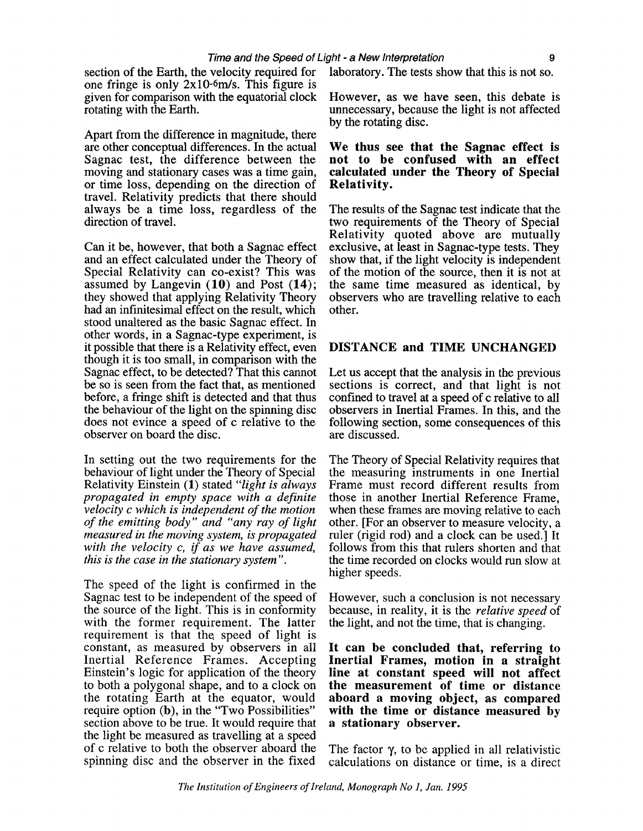section of the Earth, the velocity required for laboratory. The tests show that this is not so. one fringe is only 2x10-6m/s. This figure is given for comparison with the equatorial clock However, as we have seen, this debate is rotating with the Earth.<br>Innecessary, because the light is not affected

Apart from the difference in magnitude, there are other conceptual differences. In the actual Sagnac test, the difference between the moving and stationary cases was a time gain, or time loss, depending on the direction of travel. Relativity predicts that there should always be a time loss, regardless of the The results of the Sagnac test indicate that the

Can it be, however, that both a Sagnac effect exclusive, at least in Sagnac-type tests. They and an effect calculated under the Theory of show that, if the light velocity is independent Special Relativity can co-exist? This was of the motion of the source, then it is not at Special Relativity can co-exist? This was of the motion of the source, then it is not at assumed by Langevin  $(10)$  and Post  $(14)$ ; the same time measured as identical, by they showed that applying Relativity Theory observers had an infinite simal effect on the result, which other, had an infinitesimal effect on the result, which stood unaltered as the basic Sagnac effect. In other words, in a Sagnac-type experiment, is it possible that there is a Relativity effect, even **DISTANCE and TIME UNCHANGED**  though it is too small, in comparison with the be so is seen from the fact that, as mentioned sections is correct, and that light is not before, a fringe shift is detected and that thus confined to travel at a speed of c relative to all before, a fringe shift is detected and that thus confined to travel at a speed of c relative to all the behaviour of the light on the spinning disc observers in Inertial Frames. In this, and the the behaviour of the light on the spinning disc observers in Inertial Frames. In this, and the does not evince a speed of c relative to the following section, some consequences of this observer on board the disc.

In setting out the two requirements for the behaviour of light under the Theory of Special Relativity Einstein (1) stated *"light is always propagated in empty space with a definite velocity c which is independent of the motion of the emitting body" and "any ray of light measured in the moving system, is propagated with the velocity c,* f *as we have assumed, this is the case in the stationary system".* 

The speed of the light is confirmed in the Sagnac test to be independent of the speed of the source of the light. This is in conformity with the former requirement. The latter requirement is that the speed of light is constant, as measured by observers in all Inertial Reference Frames. Accepting Einstein's logic for application of the theory to both a polygonal shape, and to a clock on the rotating Earth at the equator, would require option **(b),** in the "Two Possibilities" section above to be true. It would require that the light be measured as travelling at a speed of c relative to both the observer aboard the spinning disc and the observer in the fixed

unnecessary, because the light is not affected by the rotating disc.

# We thus see that the Sagnac effect is<br>not to be confused with an effect calculated under the Theory of Special Relativity.

two requirements of the Theory of Special. Relativity quoted above are mutually the same time measured as identical, by observers who are travelling relative to each

Let us accept that the analysis in the previous following section, some consequences of this are discussed.

The Theory of Special Relativity requires that the measuring instruments in one Inertial Frame must record different results from those in another Inertial Reference Frame, when these frames are moving relative to each other. [For an observer to measure velocity, a ruler (rigid rod) and a clock can be used.] It follows from this that rulers shorten and that the time recorded on clocks would run slow at higher speeds.

However, such a conclusion is not necessary because, in reality, it is the *relative speed* of the light, and not the time, that is changing.

**It can be concluded that, referring to Inertial Frames, motion in a straight line at constant speed will not affect the measurement of time or distance aboard a moving object, as compared with the time or distance measured by a stationary observer.** 

The factor  $\gamma$ , to be applied in all relativistic calculations on distance or time, is a direct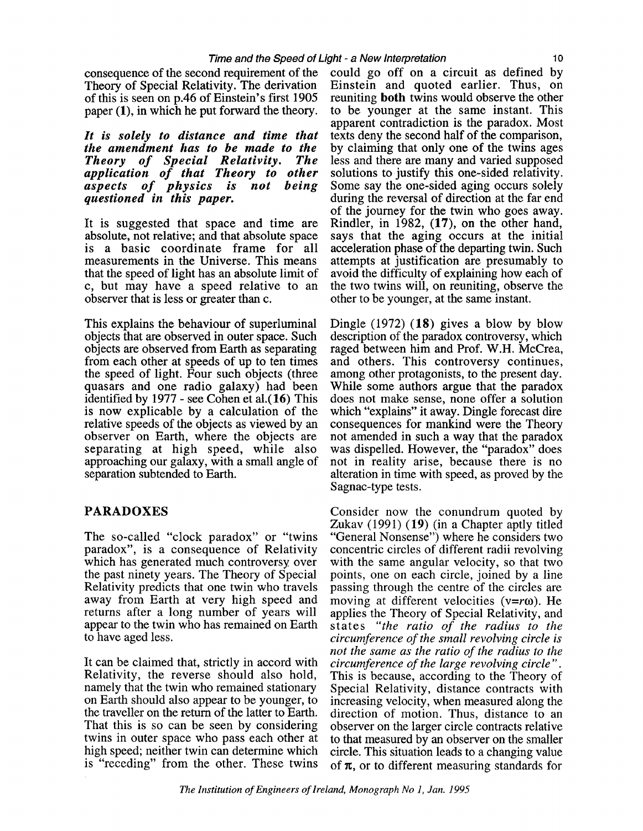consequence of the second requirement of the Theory of Special Relativity. The derivation of this is seen on p.46 of Einstein's first 1905 paper (I), in which he put forward the theory.

*It is solely to distance and time that the amendment has to be made to the Theory of Special Relativity. The application of that Theory to other aspects of physics is not being questioned in this paper.* 

It is suggested that space and time are absolute, not relative; and that absolute space is a basic coordinate frame for all measurements in the Universe. This means that the speed of light has an absolute limit of c, but may have a speed relative to an observer that is less or greater than c.

This explains the behaviour of superluminal objects that are observed in outer space. Such objects are observed from Earth as separating from each other at speeds of up to ten times the speed of light. Four such objects (three quasars and one radio galaxy) had been identified by 1977 - see Cohen et a1.(16) This is now explicable by a calculation of the relative speeds of the objects as viewed by an observer on Earth, where the objects are separating at high speed, while also approaching our galaxy, with a small angle of separation subtended to Earth.

### **PARADOXES**

The so-called "clock paradox" or "twins paradox", is a consequence of Relativity which has generated much controversy over the past ninety years. The Theory of Special Relativity predicts that one twin who travels away from Earth at very high speed and returns after a long number of years will appear to the twin who has remained on Earth to have aged less.

It can be claimed that, strictly in accord with Relativity, the reverse should also hold, namely that the twin who remained stationary on Earth should also appear to be younger, to the traveller on the return of the latter to Earth. That this is so can be seen by considering twins in outer space who pass each other at high speed; neither twin can determine which is "receding" from the other. These twins could go off on a circuit as defined by Einstein and quoted earlier. Thus, on reuniting **both** twins would observe the other to be younger at the same instant. This apparent contradiction is the paradox. Most texts deny the second half of the comparison, by claiming that only one of the twins ages less and there are many and varied supposed solutions to justify this one-sided relativity. Some say the one-sided aging occurs solely during the reversal of direction at the far end of the journey for the twin who goes away. Rindler, in 1982, **(17),** on the other hand, says that the aging occurs at the initial acceleration phase of the departing twin. Such attempts at justification are presumably to avoid the difficulty of explaining how each of the two twins will, on reuniting, observe the other to be younger, at the same instant.

Dingle (1972) (18) gives a blow by blow description of the paradox controversy, which raged between him and Prof. W.H. McCrea, and others. This controversy continues, among other protagonists, to the present day. While some authors argue that the paradox does not make sense, none offer a solution which "explains" it away. Dingle forecast dire consequences for mankind were the Theory not amended in such a way that the paradox was dispelled. However, the "paradox" does not in reality arise, because there is no alteration in time with speed, as proved by the Sagnac-type tests.

Consider now the conundrum quoted by Zukav (1991) (19) (in a Chapter aptly titled "General Nonsense") where he considers two concentric circles of different radii revolving with the same angular velocity, so that two points, one on each circle, joined by a line passing through the centre of the circles are moving at different velocities ( $v=r\omega$ ). He applies the Theory of Special Relativity, and states *"the ratio of the radius to the circumference of the small revolving circle is not the same as the ratio of the radius to the circumference of the large revolving circle".*  This is because, according to the Theory of Special Relativity, distance contracts with increasing velocity, when measured along the direction of motion. Thus, distance to an observer on the larger circle contracts relative to that measured by an observer on the smaller circle. This situation leads to a changing value of  $\pi$ , or to different measuring standards for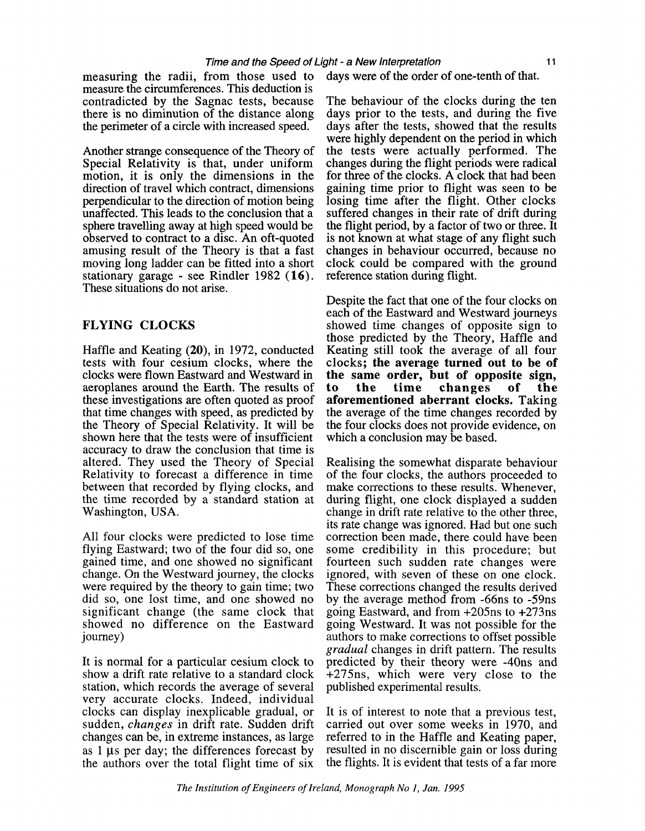measuring the radii, from those used to measure the circumferences. This deduction is contradicted by the Sagnac tests, because there is no diminution of the distance along the perimeter of a circle with increased speed.

Another strange consequence of the Theory of Special Relativity is that, under uniform motion, it is only the dimensions in the direction of travel which contract, dimensions perpendicular to the direction of motion being unaffected. This leads to the conclusion that a sphere travelling away at high speed would be observed to contract to a disc. An oft-quoted amusing result of the Theory is that a fast moving long ladder can be fitted into a short stationary garage - see Rindler 1982 **(16).**  These situations do not arise.

#### **FLYING CLOCKS**

Haffle and Keating **(20),** in 1972, conducted tests with four cesium clocks, where the clocks were flown Eastward and Westward in aeroplanes around the Earth. The results of these investigations are often quoted as proof that time changes with speed, as predicted by the Theory of Special Relativity. It will be shown here that the tests were of insufficient accuracy to draw the conclusion that time is altered. They used the Theory of Special Relativity to forecast a difference in time between that recorded by flying clocks, and the time recorded by a standard station at Washington, USA.

All four clocks were predicted to lose time flying Eastward; two of the four did so, one gained time, and one showed no significant change. On the Westward journey, the clocks were required by the theory to gain time; two did so, one lost time, and one showed no significant change (the same clock that showed no difference on the Eastward journey)

It is normal for a particular cesium clock to show a drift rate relative to a standard clock station, which records the average of several very accurate clocks. Indeed, individual clocks can display inexplicable gradual, or sudden, *changes* in drift rate. Sudden drift changes can be, in extreme instances, as large as  $1 \mu s$  per day; the differences forecast by the authors over the total flight time of six

days were of the order of one-tenth of that.

The behaviour of the clocks during the ten days prior to the tests, and during the five days after the tests, showed that the results were highly dependent on the period in which the tests were actually performed. The changes during the flight periods were radical for three of the clocks. A clock that had been gaining time prior to flight was seen to be losing time after the flight. Other clocks suffered changes in their rate of drift during the flight period, by a factor of two or three. It is not known at what stage of any flight such changes in behaviour occurred, because no clock could be compared with the ground reference station during flight.

Despite the fact that one of the four clocks on each of the Eastward and Westward journeys showed time changes of opposite sign to those predicted by the Theory, Haffle and Keating still took the average of all four clocks; **the average turned out to be of the same order, but of opposite sign, to the time changes of the aforementioned aberrant clocks.** Taking the average of the time changes recorded by the four clocks does not provide evidence, on which a conclusion may be based.

Realising the somewhat disparate behaviour of the four clocks, the authors proceeded to make corrections to these results. Whenever, during flight, one clock displayed a sudden change in drift rate relative to the other three, its rate change was ignored. Had but one such correction been made, there could have been some credibility in this procedure; but fourteen such sudden rate changes were ignored, with seven of these on one clock. These corrections changed the results derived by the average method from -66ns to -59ns going Eastward, and from +205ns to +273ns going Westward. It was not possible for the authors to make corrections to offset possible gradual changes in drift pattern. The results predicted by their theory were -40ns and +275ns, which were very close to the published experimental results.

It is of interest to note that a previous test, carried out over some weeks in 1970, and referred to in the Haffle and Keating paper, resulted in no discernible gain or loss during the flights. It is evident that tests of a far more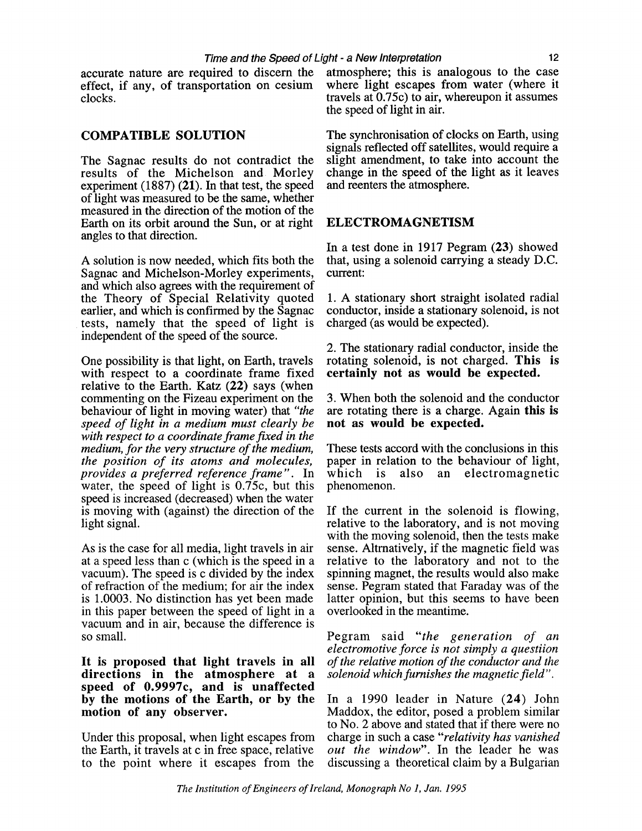accurate nature are required to discern the effect, if any, of transportation on cesium clocks.

### **COMPATIBLE SOLUTION**

The Sagnac results do not contradict the results of the Michelson and Morley experiment (1887) (21). In that test, the speed of light was measured to be the same, whether measured in the direction of the motion of the Earth on its orbit around the Sun, or at right angles to that direction.

A solution is now needed, which fits both the Sagnac and Michelson-Morley experiments, and which also agrees with the requirement of the Theory of Special Relativity quoted earlier, and which is confirmed by the Sagnac tests, namely that the speed of light is independent of the speed of the source.

One possibility is that light, on Earth, travels with respect to a coordinate frame fixed relative to the Earth. Katz (22) says (when commenting on the Fizeau experiment on the behaviour of light in moving water) that *"the speed of light in a medium must clearly be with respect to a coordinate frame fixed in the medium, for the very structure of the medium, the position of its atoms and molecules, provides a preferred reference frame".* In water, the speed of light is  $0.75c$ , but this speed is increased (decreased) when the water is moving with (against) the direction of the light signal.

As is the case for all media, light travels in air at a speed less than c (which is the speed in a vacuum). The speed is c divided by the index of refraction of the medium; for air the index is 1.0003. No distinction has yet been made in this paper between the speed of light in a vacuum and in air, because the difference is so small.

**It is proposed that light travels in all directions in the atmosphere at a speed of 0.9997c, and is unaffected by the motions of the Earth, or by the motion of any observer.** 

Under this proposal, when light escapes from the Earth, it travels at c in free space, relative to the point where it escapes from the

atmosphere; this is analogous to the case where light escapes from water (where it travels at  $0.75c$  to air, whereupon it assumes the speed of light in air.

The synchronisation of clocks on Earth, using signals reflected off satellites, would require a slight amendment, to take into account the change in the speed of the light as it leaves and reenters the atmosphere.

### **ELECTROMAGNETISM**

In a test done in 1917 Pegram (23) showed that, using a solenoid carrying a steady D.C. current:

1. A stationary short straight isolated radial conductor, inside a stationary solenoid, is not charged (as would be expected).

2. The stationary radial conductor, inside the rotating solenoid, is not charged. **This is certainly not as would be expected.** 

3. When both the solenoid and the conductor are rotating there is a charge. Again **this is not as would be expected.** 

These tests accord with the conclusions in this paper in relation to the behaviour of light,<br>which is also an electromagnetic also an electromagnetic phenomenon.

If the current in the solenoid is flowing, relative to the laboratory, and is not moving with the moving solenoid, then the tests make sense. Altrnatively, if the magnetic field was relative to the laboratory and not to the spinning magnet, the results would also make sense. Pegram stated that Faraday was of the latter opinion, but this seems to have been overlooked in the meantime.

Pegram said *"the generation of an electromotive force is not simply a questiion of the relative motion of the conductor and the solenoid which furnishes the magnetic field".* 

In a 1990 leader in Nature (24) John Maddox, the editor, posed a problem similar to No. 2 above and stated that if there were no charge in such a case *"relativity has vanished out the window".* In the leader he was discussing a theoretical claim by a Bulgarian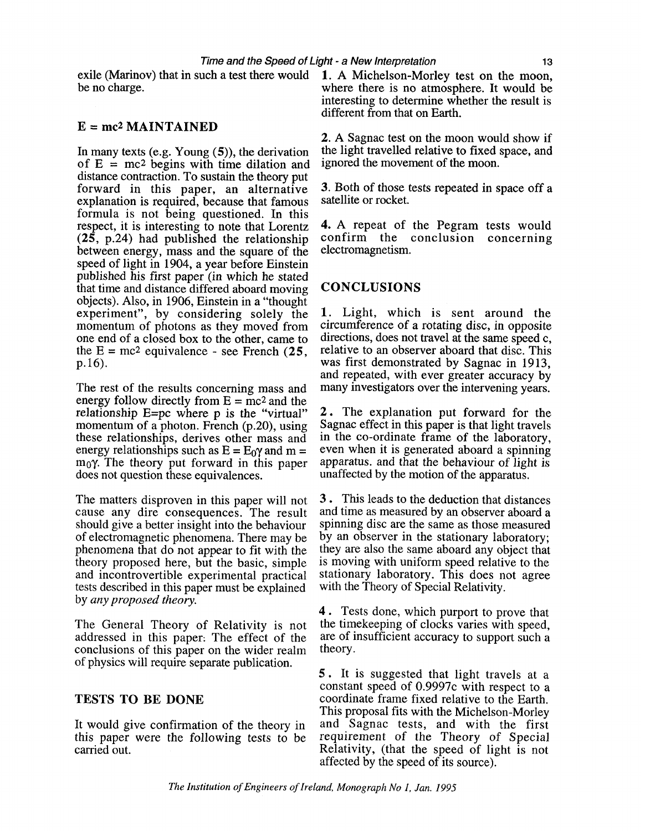be no charge.

#### **E** = **rnc2 MAINTAINED**

In many texts (e.g. Young (S)), the derivation of  $E = mc^2$  begins with time dilation and distance contraction. To sustain the theory put forward in this paper, an alternative explanation is required, because that famous formula is not being questioned. In this respect, it is interesting to note that Lorentz (25, p.24) had published the relationship between energy, mass and the square of the speed of light in 1904, a year before Einstein published his first paper (in which he stated that time and distance differed aboard moving objects). Also, in 1906, Einstein in a "thought experiment", by considering solely the momentum of photons as they moved from one end of a closed box to the other, came to the  $E = mc^2$  equivalence - see French (25, p.16).

The rest of the results concerning mass and energy follow directly from  $E = mc^2$  and the relationship E=pc where p is the "virtual" momentum of a photon. French (p.20), using these relationships, derives other mass and energy relationships such as  $E = E_0 \gamma$  and m =  $m_0\gamma$ . The theory put forward in this paper does not question these equivalences.

The matters disproven in this paper will not cause any dire consequences. The result should give a better insight into the behaviour of electromagnetic phenomena. There may be phenomena that do not appear to fit with the theory proposed here, but the basic, simple and incontrovertible experimental practical tests described in this paper must be explained by any *proposed theory.* 

The General Theory of Relativity is not addressed in this paper: The effect of the conclusions of this paper on the wider realm of physics will require separate publication.

### **TESTS TO BE DONE**

It would give confirmation of the theory in this paper were the following tests to be carried out.

exile (Marinov) that in such a test there would **1. A** Michelson-Morley test on the moon, where there is no atmosphere. It would be interesting to determine whether the result is different from that on Earth.

> 2. A Sagnac test on the moon would show if the light travelled relative to fixed space, and ignored the movement of the moon.

> **3.** Both of those tests repeated in space off a satellite or rocket.

> 4. A repeat of the Pegram tests would confirm the conclusion concerning electromagnetism.

### **CONCLUSIONS**

**1** Light, which is sent around the circumference of a rotating disc, in opposite directions, does not travel at the same speed c, relative to an observer aboard that disc. This was first demonstrated by Sagnac in 1913, and repeated, with ever greater accuracy by many investigators over the intervening years.

2. The explanation put forward for the Sagnac effect in this paper is that light travels in the co-ordinate frame of the laboratory, even when it is generated aboard a spinning apparatus. and that the behaviour of light is unaffected by the motion of the apparatus.

**<sup>3</sup>**. This leads to the deduction that distances and time as measured by an observer aboard a spinning disc are the same as those measured by an observer in the stationary laboratory; they are also the same aboard any object that is moving with uniform speed relative to the stationary laboratory. This does not agree with the Theory of Special Relativity.

<sup>4</sup>. Tests done, which purport to prove that the timekeeping of clocks varies with speed, are of insufficient accuracy to support such a theory.

5. It is suggested that light travels at a constant speed of 0.9997c with respect to a coordinate frame fixed relative to the Earth. This proposal fits with the Michelson-Morley and Sagnac tests, and with the first requirement of the Theory of Special Relativity, (that the speed of light is not affected by the speed of its source).